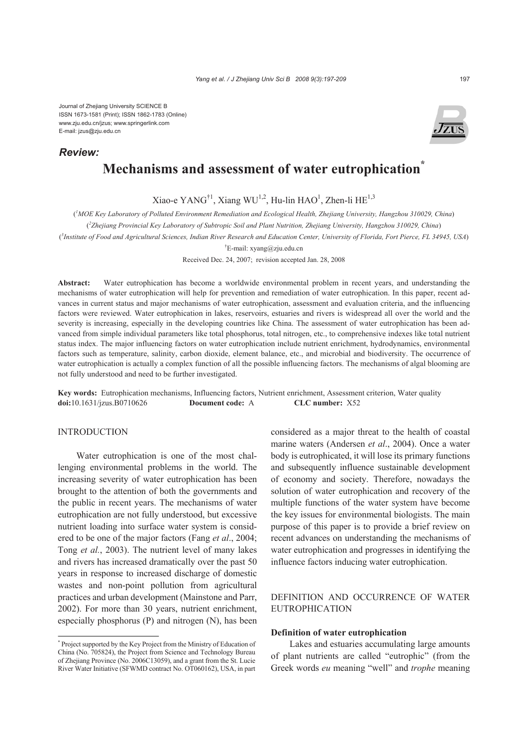Journal of Zhejiang University SCIENCE B ISSN 1673-1581 (Print); ISSN 1862-1783 (Online) www.zju.edu.cn/jzus; www.springerlink.com E-mail: jzus@zju.edu.cn

*Review:*



# **Mechanisms and assessment of water eutrophication\***

Xiao-e YANG<sup>†1</sup>, Xiang WU<sup>1,2</sup>, Hu-lin HAO<sup>1</sup>, Zhen-li HE<sup>1,3</sup>

( *1 MOE Key Laboratory of Polluted Environment Remediation and Ecological Health, Zhejiang University, Hangzhou 310029, China*)

( *2 Zhejiang Provincial Key Laboratory of Subtropic Soil and Plant Nutrition, Zhejiang University, Hangzhou 310029, China*)

( *3 Institute of Food and Agricultural Sciences, Indian River Research and Education Center, University of Florida, Fort Pierce, FL 34945, USA*)

 $E$ -mail: xyang@zju.edu.cn

Received Dec. 24, 2007; revision accepted Jan. 28, 2008

**Abstract:** Water eutrophication has become a worldwide environmental problem in recent years, and understanding the mechanisms of water eutrophication will help for prevention and remediation of water eutrophication. In this paper, recent advances in current status and major mechanisms of water eutrophication, assessment and evaluation criteria, and the influencing factors were reviewed. Water eutrophication in lakes, reservoirs, estuaries and rivers is widespread all over the world and the severity is increasing, especially in the developing countries like China. The assessment of water eutrophication has been advanced from simple individual parameters like total phosphorus, total nitrogen, etc., to comprehensive indexes like total nutrient status index. The major influencing factors on water eutrophication include nutrient enrichment, hydrodynamics, environmental factors such as temperature, salinity, carbon dioxide, element balance, etc., and microbial and biodiversity. The occurrence of water eutrophication is actually a complex function of all the possible influencing factors. The mechanisms of algal blooming are not fully understood and need to be further investigated.

**Key words:** Eutrophication mechanisms, Influencing factors, Nutrient enrichment, Assessment criterion, Water quality **doi:**10.1631/jzus.B0710626 **Document code:** A **CLC number:** X52

### INTRODUCTION

Water eutrophication is one of the most challenging environmental problems in the world. The increasing severity of water eutrophication has been brought to the attention of both the governments and the public in recent years. The mechanisms of water eutrophication are not fully understood, but excessive nutrient loading into surface water system is considered to be one of the major factors (Fang *et al*., 2004; Tong *et al.*, 2003). The nutrient level of many lakes and rivers has increased dramatically over the past 50 years in response to increased discharge of domestic wastes and non-point pollution from agricultural practices and urban development (Mainstone and Parr, 2002). For more than 30 years, nutrient enrichment, especially phosphorus (P) and nitrogen (N), has been

\* Project supported by the Key Project from the Ministry of Education of China (No. 705824), the Project from Science and Technology Bureau of Zhejiang Province (No. 2006C13059), and a grant from the St. Lucie River Water Initiative (SFWMD contract No. OT060162), USA, in part

considered as a major threat to the health of coastal marine waters (Andersen *et al*., 2004). Once a water body is eutrophicated, it will lose its primary functions and subsequently influence sustainable development of economy and society. Therefore, nowadays the solution of water eutrophication and recovery of the multiple functions of the water system have become the key issues for environmental biologists. The main purpose of this paper is to provide a brief review on recent advances on understanding the mechanisms of water eutrophication and progresses in identifying the influence factors inducing water eutrophication.

# DEFINITION AND OCCURRENCE OF WATER **EUTROPHICATION**

### **Definition of water eutrophication**

Lakes and estuaries accumulating large amounts of plant nutrients are called "eutrophic" (from the Greek words *eu* meaning "well" and *trophe* meaning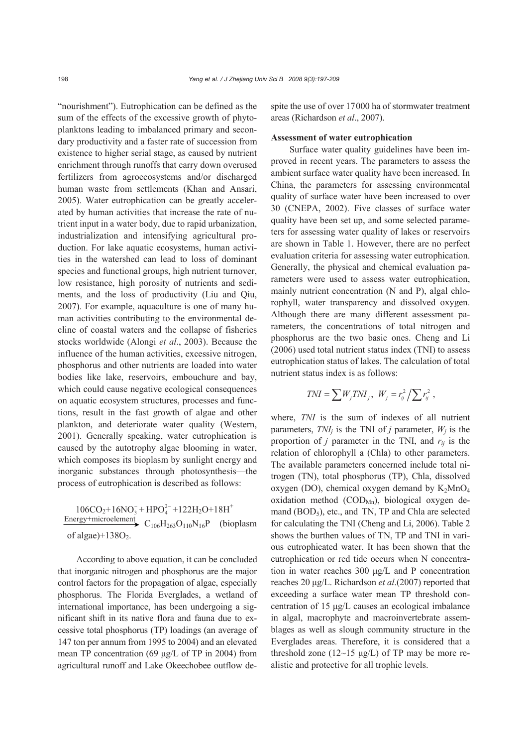"nourishment"). Eutrophication can be defined as the sum of the effects of the excessive growth of phytoplanktons leading to imbalanced primary and secondary productivity and a faster rate of succession from existence to higher serial stage, as caused by nutrient enrichment through runoffs that carry down overused fertilizers from agroecosystems and/or discharged human waste from settlements (Khan and Ansari, 2005). Water eutrophication can be greatly accelerated by human activities that increase the rate of nutrient input in a water body, due to rapid urbanization, industrialization and intensifying agricultural production. For lake aquatic ecosystems, human activities in the watershed can lead to loss of dominant species and functional groups, high nutrient turnover, low resistance, high porosity of nutrients and sediments, and the loss of productivity (Liu and Qiu, 2007). For example, aquaculture is one of many human activities contributing to the environmental decline of coastal waters and the collapse of fisheries stocks worldwide (Alongi *et al*., 2003). Because the influence of the human activities, excessive nitrogen, phosphorus and other nutrients are loaded into water bodies like lake, reservoirs, embouchure and bay, which could cause negative ecological consequences on aquatic ecosystem structures, processes and functions, result in the fast growth of algae and other plankton, and deteriorate water quality (Western, 2001). Generally speaking, water eutrophication is caused by the autotrophy algae blooming in water, which composes its bioplasm by sunlight energy and inorganic substances through photosynthesis—the process of eutrophication is described as follows:

 $106CO<sub>2</sub>+16NO<sub>3</sub><sup>-</sup>+HPO<sub>4</sub><sup>2-</sup>+122H<sub>2</sub>O+18H<sup>+</sup>$ Energy+microelement  $C_{106}H_{263}O_{110}N_{16}P$  (bioplasm of algae) $+138O<sub>2</sub>$ .

According to above equation, it can be concluded that inorganic nitrogen and phosphorus are the major control factors for the propagation of algae, especially phosphorus. The Florida Everglades, a wetland of international importance, has been undergoing a significant shift in its native flora and fauna due to excessive total phosphorus (TP) loadings (an average of 147 ton per annum from 1995 to 2004) and an elevated mean TP concentration (69 μg/L of TP in 2004) from agricultural runoff and Lake Okeechobee outflow despite the use of over 17000 ha of stormwater treatment areas (Richardson *et al*., 2007).

### **Assessment of water eutrophication**

Surface water quality guidelines have been improved in recent years. The parameters to assess the ambient surface water quality have been increased. In China, the parameters for assessing environmental quality of surface water have been increased to over 30 (CNEPA, 2002). Five classes of surface water quality have been set up, and some selected parameters for assessing water quality of lakes or reservoirs are shown in Table 1. However, there are no perfect evaluation criteria for assessing water eutrophication. Generally, the physical and chemical evaluation parameters were used to assess water eutrophication, mainly nutrient concentration (N and P), algal chlorophyll, water transparency and dissolved oxygen. Although there are many different assessment parameters, the concentrations of total nitrogen and phosphorus are the two basic ones. Cheng and Li (2006) used total nutrient status index (TNI) to assess eutrophication status of lakes. The calculation of total nutrient status index is as follows:

$$
TNI = \sum W_j TNI_j, \ W_j = r_{ij}^2 / \sum r_{ij}^2,
$$

where, *TNI* is the sum of indexes of all nutrient parameters,  $TNI<sub>i</sub>$  is the TNI of *j* parameter,  $W<sub>i</sub>$  is the proportion of *j* parameter in the TNI, and  $r_{ij}$  is the relation of chlorophyll a (Chla) to other parameters. The available parameters concerned include total nitrogen (TN), total phosphorus (TP), Chla, dissolved oxygen (DO), chemical oxygen demand by  $K_2MnO_4$ oxidation method (COD<sub>Mn</sub>), biological oxygen demand (BOD5), etc., and TN, TP and Chla are selected for calculating the TNI (Cheng and Li, 2006). Table 2 shows the burthen values of TN, TP and TNI in various eutrophicated water. It has been shown that the eutrophication or red tide occurs when N concentration in water reaches 300 μg/L and P concentration reaches 20 μg/L. Richardson *et al*.(2007) reported that exceeding a surface water mean TP threshold concentration of 15 μg/L causes an ecological imbalance in algal, macrophyte and macroinvertebrate assemblages as well as slough community structure in the Everglades areas. Therefore, it is considered that a threshold zone  $(12{\sim}15 \text{ µg/L})$  of TP may be more realistic and protective for all trophic levels.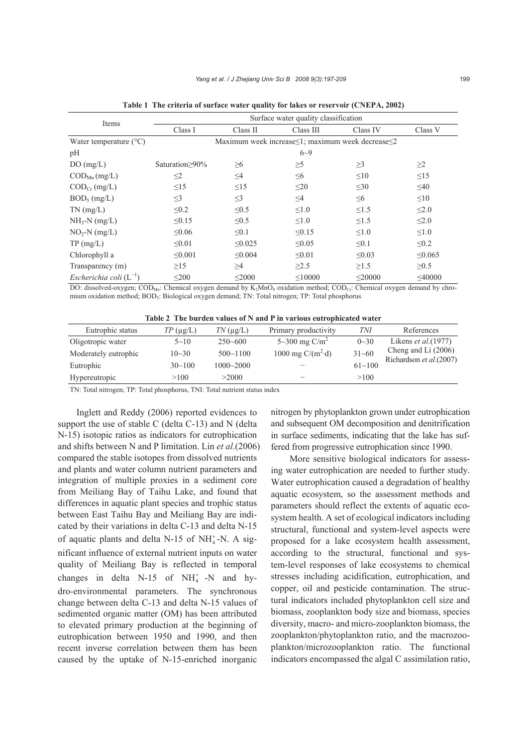| Items                                              | Surface water quality classification                   |              |              |              |              |  |  |
|----------------------------------------------------|--------------------------------------------------------|--------------|--------------|--------------|--------------|--|--|
|                                                    | Class I                                                | Class II     | Class III    | Class IV     | Class V      |  |  |
| Water temperature $(^{\circ}C)$                    | Maximum week increase <= 1; maximum week decrease << 2 |              |              |              |              |  |  |
| pH                                                 | $6 - 9$                                                |              |              |              |              |  |  |
| DO(mg/L)                                           | Saturation>90%                                         | $\geq 6$     | $\geq 5$     | $\geq$ 3     | $\geq$ 2     |  |  |
| $\mathrm{COD}_\mathrm{Mn}(\mathrm{mg}/\mathrm{L})$ | $\leq$ 2                                               | $\leq4$      | $\leq 6$     | $\leq 10$    | $\leq$ 15    |  |  |
| $\mathrm{COD}_{\mathrm{Cr}}\,(\mathrm{mg/L})$      | $\leq$ 15                                              | $\leq$ 15    | $\leq$ 20    | $\leq 30$    | $\leq 40$    |  |  |
| BOD <sub>5</sub> (mg/L)                            | $\leq$ 3                                               | $\leq$ 3     | $\leq$ 4     | $\leq 6$     | $\leq 10$    |  |  |
| $TN$ (mg/L)                                        | $\leq 0.2$                                             | $\leq 0.5$   | $\leq 1.0$   | $\leq$ 1.5   | $\leq 2.0$   |  |  |
| $NH3-N$ (mg/L)                                     | $\leq 0.15$                                            | $\leq 0.5$   | $\leq 1.0$   | $\leq1.5$    | $\leq 2.0$   |  |  |
| $NO2-N$ (mg/L)                                     | $\leq 0.06$                                            | $\leq 0.1$   | $\leq 0.15$  | $\leq 1.0$   | $\leq 1.0$   |  |  |
| TP(mg/L)                                           | $\leq 0.01$                                            | $\leq 0.025$ | $\leq 0.05$  | $\leq 0.1$   | $\leq 0.2$   |  |  |
| Chlorophyll a                                      | $\leq 0.001$                                           | < 0.004      | $\leq 0.01$  | $\leq 0.03$  | $\leq 0.065$ |  |  |
| Transparency (m)                                   | $\geq$ 15                                              | $\geq$ 4     | $\geq$ 2.5   | $\geq$ 1.5   | $\geq 0.5$   |  |  |
| Escherichia coli $(L^{-1})$                        | $\leq 200$                                             | $\leq$ 2000  | $\leq 10000$ | $\leq$ 20000 | $\leq 40000$ |  |  |

**Table 1 The criteria of surface water quality for lakes or reservoir (CNEPA, 2002)** 

DO: dissolved-oxygen; COD<sub>Mn</sub>: Chemical oxygen demand by K<sub>2</sub>MnO<sub>4</sub> oxidation method; COD<sub>Cr</sub>: Chemical oxygen demand by chromium oxidation method; BOD5: Biological oxygen demand; TN: Total nitrogen; TP: Total phosphorus

| Table 2 The burden values of N and P in various eutrophicated water |  |  |  |  |  |  |  |  |  |  |  |
|---------------------------------------------------------------------|--|--|--|--|--|--|--|--|--|--|--|
|---------------------------------------------------------------------|--|--|--|--|--|--|--|--|--|--|--|

| Eutrophic status     | $TP \, (\mu g/L)$ | $TN$ ( $\mu$ g/L) | Primary productivity      | <i>TNI</i> | References                                     |
|----------------------|-------------------|-------------------|---------------------------|------------|------------------------------------------------|
| Oligotropic water    | $5 - 10$          | $250 - 600$       | 5~300 mg $C/m^2$          | $0 - 30$   | Likens et al. $(1977)$                         |
| Moderately eutrophic | $10 - 30$         | $500 \sim 1100$   | 1000 mg $C/(m^2 \cdot d)$ | $31 - 60$  | Cheng and Li (2006)<br>Richardson et al.(2007) |
| Eutrophic            | $30 - 100$        | $1000 - 2000$     |                           | $61 - 100$ |                                                |
| Hypereutropic        | >100              | >2000             | $\overline{\phantom{a}}$  | >100       |                                                |

TN: Total nitrogen; TP: Total phosphorus, TNI: Total nutrient status index

Inglett and Reddy (2006) reported evidences to support the use of stable C (delta C-13) and N (delta N-15) isotopic ratios as indicators for eutrophication and shifts between N and P limitation. Lin *et al*.(2006) compared the stable isotopes from dissolved nutrients and plants and water column nutrient parameters and integration of multiple proxies in a sediment core from Meiliang Bay of Taihu Lake, and found that differences in aquatic plant species and trophic status between East Taihu Bay and Meiliang Bay are indicated by their variations in delta C-13 and delta N-15 of aquatic plants and delta N-15 of NH $_4^+$ -N. A significant influence of external nutrient inputs on water quality of Meiliang Bay is reflected in temporal changes in delta  $N-15$  of  $NH_4^+$  -N and hydro-environmental parameters. The synchronous change between delta C-13 and delta N-15 values of sedimented organic matter (OM) has been attributed to elevated primary production at the beginning of eutrophication between 1950 and 1990, and then recent inverse correlation between them has been caused by the uptake of N-15-enriched inorganic

nitrogen by phytoplankton grown under eutrophication and subsequent OM decomposition and denitrification in surface sediments, indicating that the lake has suffered from progressive eutrophication since 1990.

More sensitive biological indicators for assessing water eutrophication are needed to further study. Water eutrophication caused a degradation of healthy aquatic ecosystem, so the assessment methods and parameters should reflect the extents of aquatic ecosystem health. A set of ecological indicators including structural, functional and system-level aspects were proposed for a lake ecosystem health assessment, according to the structural, functional and system-level responses of lake ecosystems to chemical stresses including acidification, eutrophication, and copper, oil and pesticide contamination. The structural indicators included phytoplankton cell size and biomass, zooplankton body size and biomass, species diversity, macro- and micro-zooplankton biomass, the zooplankton/phytoplankton ratio, and the macrozooplankton/microzooplankton ratio. The functional indicators encompassed the algal C assimilation ratio,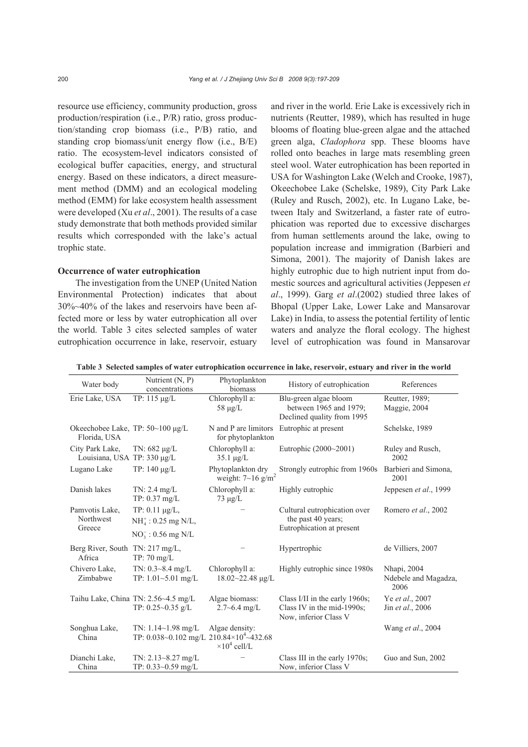resource use efficiency, community production, gross production/respiration (i.e., P/R) ratio, gross production/standing crop biomass (i.e., P/B) ratio, and standing crop biomass/unit energy flow (i.e., B/E) ratio. The ecosystem-level indicators consisted of ecological buffer capacities, energy, and structural energy. Based on these indicators, a direct measurement method (DMM) and an ecological modeling method (EMM) for lake ecosystem health assessment were developed (Xu *et al*., 2001). The results of a case study demonstrate that both methods provided similar results which corresponded with the lake's actual trophic state.

### **Occurrence of water eutrophication**

The investigation from the UNEP (United Nation Environmental Protection) indicates that about 30%~40% of the lakes and reservoirs have been affected more or less by water eutrophication all over the world. Table 3 cites selected samples of water eutrophication occurrence in lake, reservoir, estuary and river in the world. Erie Lake is excessively rich in nutrients (Reutter, 1989), which has resulted in huge blooms of floating blue-green algae and the attached green alga, *Cladophora* spp. These blooms have rolled onto beaches in large mats resembling green steel wool. Water eutrophication has been reported in USA for Washington Lake (Welch and Crooke, 1987), Okeechobee Lake (Schelske, 1989), City Park Lake (Ruley and Rusch, 2002), etc. In Lugano Lake, between Italy and Switzerland, a faster rate of eutrophication was reported due to excessive discharges from human settlements around the lake, owing to population increase and immigration (Barbieri and Simona, 2001). The majority of Danish lakes are highly eutrophic due to high nutrient input from domestic sources and agricultural activities (Jeppesen *et al*., 1999). Garg *et al*.(2002) studied three lakes of Bhopal (Upper Lake, Lower Lake and Mansarovar Lake) in India, to assess the potential fertility of lentic waters and analyze the floral ecology. The highest level of eutrophication was found in Mansarovar

**Table 3 Selected samples of water eutrophication occurrence in lake, reservoir, estuary and river in the world**

| Water body                                            | Nutrient (N, P)<br>concentrations                                                | Phytoplankton<br>biomass                                  | History of eutrophication                                                             | References                                  |
|-------------------------------------------------------|----------------------------------------------------------------------------------|-----------------------------------------------------------|---------------------------------------------------------------------------------------|---------------------------------------------|
| Erie Lake, USA                                        | TP: 115 μg/L                                                                     | Chlorophyll a:<br>$58 \mu g/L$                            | Blu-green algae bloom<br>between 1965 and 1979;<br>Declined quality from 1995         | Reutter, 1989;<br>Maggie, 2004              |
| Okeechobee Lake, TP: $50~100 \mu g/L$<br>Florida, USA |                                                                                  | N and P are limitors<br>for phytoplankton                 | Eutrophic at present                                                                  | Schelske, 1989                              |
| City Park Lake,<br>Louisiana, USA TP: 330 µg/L        | TN: $682 \mu g/L$                                                                | Chlorophyll a:<br>$35.1 \mu g/L$                          | Eutrophic (2000~2001)                                                                 | Ruley and Rusch,<br>2002                    |
| Lugano Lake                                           | TP: 140 μg/L                                                                     | Phytoplankton dry<br>weight: $7{\sim}16$ g/m <sup>2</sup> | Strongly eutrophic from 1960s                                                         | Barbieri and Simona,<br>2001                |
| Danish lakes                                          | $TN: 2.4$ mg/L<br>TP: $0.37$ mg/L                                                | Chlorophyll a:<br>$73 \mu g/L$                            | Highly eutrophic                                                                      | Jeppesen et al., 1999                       |
| Pamvotis Lake,<br>Northwest<br>Greece                 | TP: $0.11 \mu g/L$ ,<br>$NH_4^+$ : 0.25 mg N/L,<br>$NO_3^-: 0.56$ mg N/L         |                                                           | Cultural eutrophication over<br>the past 40 years;<br>Eutrophication at present       | Romero et al., 2002                         |
| Berg River, South TN: 217 mg/L,<br>Africa             | TP: 70 mg/L                                                                      |                                                           | Hypertrophic                                                                          | de Villiers, 2007                           |
| Chivero Lake.<br>Zimbabwe                             | TN: $0.3 \sim 8.4$ mg/L<br>TP: $1.01 - 5.01$ mg/L                                | Chlorophyll a:<br>$18.02 \sim 22.48 \text{ µg/L}$         | Highly eutrophic since 1980s                                                          | Nhapi, 2004<br>Ndebele and Magadza,<br>2006 |
|                                                       | Taihu Lake, China TN: 2.56~4.5 mg/L<br>TP: $0.25 \sim 0.35$ g/L                  | Algae biomass:<br>$2.7 - 6.4$ mg/L                        | Class I/II in the early 1960s;<br>Class IV in the mid-1990s;<br>Now, inferior Class V | Ye et al., 2007<br>Jin et al., 2006         |
| Songhua Lake,<br>China                                | TN: $1.14 \sim 1.98$ mg/L<br>TP: 0.038~0.102 mg/L 210.84×10 <sup>4</sup> ~432.68 | Algae density:<br>$\times 10^4$ cell/L                    |                                                                                       | Wang et al., 2004                           |
| Dianchi Lake,<br>China                                | TN: $2.13 - 8.27$ mg/L<br>TP: $0.33 \sim 0.59$ mg/L                              |                                                           | Class III in the early 1970s;<br>Now, inferior Class V                                | Guo and Sun, 2002                           |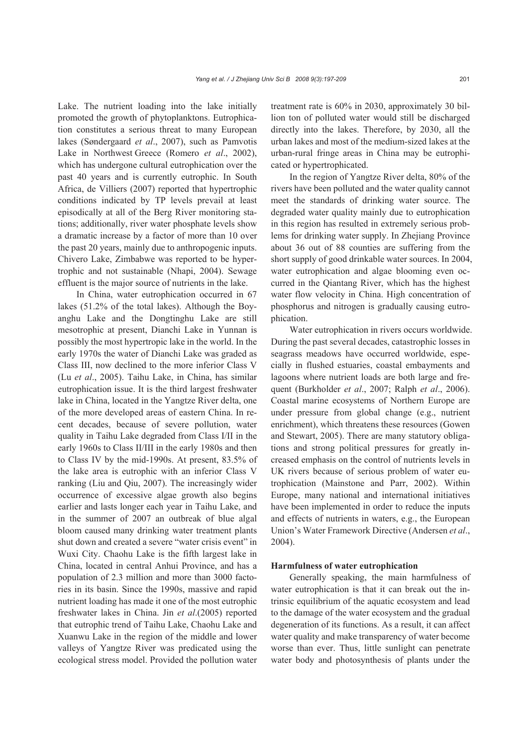Lake. The nutrient loading into the lake initially promoted the growth of phytoplanktons. Eutrophication constitutes a serious threat to many European lakes (Søndergaard *et al*., 2007), such as Pamvotis Lake in Northwest Greece (Romero *et al*., 2002), which has undergone cultural eutrophication over the past 40 years and is currently eutrophic. In South Africa, de Villiers (2007) reported that hypertrophic conditions indicated by TP levels prevail at least episodically at all of the Berg River monitoring stations; additionally, river water phosphate levels show a dramatic increase by a factor of more than 10 over the past 20 years, mainly due to anthropogenic inputs. Chivero Lake, Zimbabwe was reported to be hypertrophic and not sustainable (Nhapi, 2004). Sewage effluent is the major source of nutrients in the lake.

In China, water eutrophication occurred in 67 lakes (51.2% of the total lakes). Although the Boyanghu Lake and the Dongtinghu Lake are still mesotrophic at present, Dianchi Lake in Yunnan is possibly the most hypertropic lake in the world. In the early 1970s the water of Dianchi Lake was graded as Class III, now declined to the more inferior Class V (Lu *et al*., 2005). Taihu Lake, in China, has similar eutrophication issue. It is the third largest freshwater lake in China, located in the Yangtze River delta, one of the more developed areas of eastern China. In recent decades, because of severe pollution, water quality in Taihu Lake degraded from Class I/II in the early 1960s to Class II/III in the early 1980s and then to Class IV by the mid-1990s. At present, 83.5% of the lake area is eutrophic with an inferior Class V ranking (Liu and Qiu, 2007). The increasingly wider occurrence of excessive algae growth also begins earlier and lasts longer each year in Taihu Lake, and in the summer of 2007 an outbreak of blue algal bloom caused many drinking water treatment plants shut down and created a severe "water crisis event" in Wuxi City. Chaohu Lake is the fifth largest lake in China, located in central Anhui Province, and has a population of 2.3 million and more than 3000 factories in its basin. Since the 1990s, massive and rapid nutrient loading has made it one of the most eutrophic freshwater lakes in China. Jin *et al*.(2005) reported that eutrophic trend of Taihu Lake, Chaohu Lake and Xuanwu Lake in the region of the middle and lower valleys of Yangtze River was predicated using the ecological stress model. Provided the pollution water

treatment rate is 60% in 2030, approximately 30 billion ton of polluted water would still be discharged directly into the lakes. Therefore, by 2030, all the urban lakes and most of the medium-sized lakes at the urban-rural fringe areas in China may be eutrophicated or hypertrophicated.

In the region of Yangtze River delta, 80% of the rivers have been polluted and the water quality cannot meet the standards of drinking water source. The degraded water quality mainly due to eutrophication in this region has resulted in extremely serious problems for drinking water supply. In Zhejiang Province about 36 out of 88 counties are suffering from the short supply of good drinkable water sources. In 2004, water eutrophication and algae blooming even occurred in the Qiantang River, which has the highest water flow velocity in China. High concentration of phosphorus and nitrogen is gradually causing eutrophication.

Water eutrophication in rivers occurs worldwide. During the past several decades, catastrophic losses in seagrass meadows have occurred worldwide, especially in flushed estuaries, coastal embayments and lagoons where nutrient loads are both large and frequent (Burkholder *et al*., 2007; Ralph *et al*., 2006). Coastal marine ecosystems of Northern Europe are under pressure from global change (e.g., nutrient enrichment), which threatens these resources (Gowen and Stewart, 2005). There are many statutory obligations and strong political pressures for greatly increased emphasis on the control of nutrients levels in UK rivers because of serious problem of water eutrophication (Mainstone and Parr, 2002). Within Europe, many national and international initiatives have been implemented in order to reduce the inputs and effects of nutrients in waters, e.g., the European Union's Water Framework Directive (Andersen *et al*., 2004).

### **Harmfulness of water eutrophication**

Generally speaking, the main harmfulness of water eutrophication is that it can break out the intrinsic equilibrium of the aquatic ecosystem and lead to the damage of the water ecosystem and the gradual degeneration of its functions. As a result, it can affect water quality and make transparency of water become worse than ever. Thus, little sunlight can penetrate water body and photosynthesis of plants under the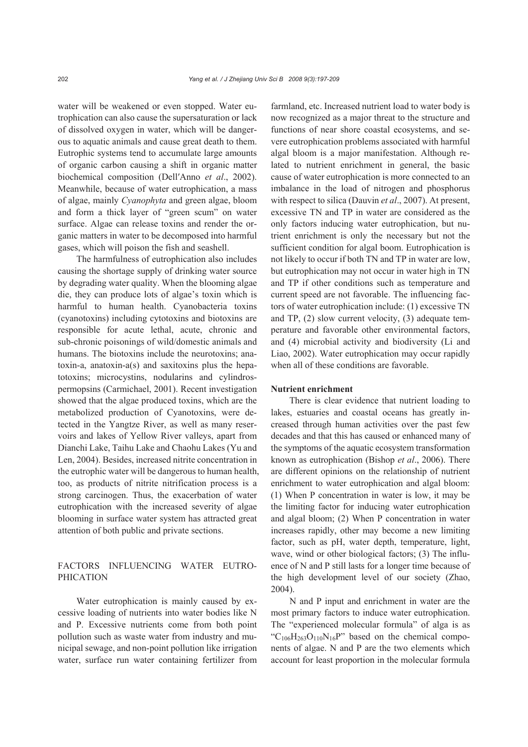water will be weakened or even stopped. Water eutrophication can also cause the supersaturation or lack of dissolved oxygen in water, which will be dangerous to aquatic animals and cause great death to them. Eutrophic systems tend to accumulate large amounts of organic carbon causing a shift in organic matter biochemical composition (Dell′Anno *et al*., 2002). Meanwhile, because of water eutrophication, a mass of algae, mainly *Cyanophyta* and green algae, bloom and form a thick layer of "green scum" on water surface. Algae can release toxins and render the organic matters in water to be decomposed into harmful gases, which will poison the fish and seashell.

The harmfulness of eutrophication also includes causing the shortage supply of drinking water source by degrading water quality. When the blooming algae die, they can produce lots of algae's toxin which is harmful to human health. Cyanobacteria toxins (cyanotoxins) including cytotoxins and biotoxins are responsible for acute lethal, acute, chronic and sub-chronic poisonings of wild/domestic animals and humans. The biotoxins include the neurotoxins; anatoxin-a, anatoxin-a(s) and saxitoxins plus the hepatotoxins; microcystins, nodularins and cylindrospermopsins (Carmichael, 2001). Recent investigation showed that the algae produced toxins, which are the metabolized production of Cyanotoxins, were detected in the Yangtze River, as well as many reservoirs and lakes of Yellow River valleys, apart from Dianchi Lake, Taihu Lake and Chaohu Lakes (Yu and Len, 2004). Besides, increased nitrite concentration in the eutrophic water will be dangerous to human health, too, as products of nitrite nitrification process is a strong carcinogen. Thus, the exacerbation of water eutrophication with the increased severity of algae blooming in surface water system has attracted great attention of both public and private sections.

# FACTORS INFLUENCING WATER EUTRO-PHICATION

Water eutrophication is mainly caused by excessive loading of nutrients into water bodies like N and P. Excessive nutrients come from both point pollution such as waste water from industry and municipal sewage, and non-point pollution like irrigation water, surface run water containing fertilizer from farmland, etc. Increased nutrient load to water body is now recognized as a major threat to the structure and functions of near shore coastal ecosystems, and severe eutrophication problems associated with harmful algal bloom is a major manifestation. Although related to nutrient enrichment in general, the basic cause of water eutrophication is more connected to an imbalance in the load of nitrogen and phosphorus with respect to silica (Dauvin *et al*., 2007). At present, excessive TN and TP in water are considered as the only factors inducing water eutrophication, but nutrient enrichment is only the necessary but not the sufficient condition for algal boom. Eutrophication is not likely to occur if both TN and TP in water are low, but eutrophication may not occur in water high in TN and TP if other conditions such as temperature and current speed are not favorable. The influencing factors of water eutrophication include: (1) excessive TN and TP, (2) slow current velocity, (3) adequate temperature and favorable other environmental factors, and (4) microbial activity and biodiversity (Li and Liao, 2002). Water eutrophication may occur rapidly when all of these conditions are favorable.

### **Nutrient enrichment**

There is clear evidence that nutrient loading to lakes, estuaries and coastal oceans has greatly increased through human activities over the past few decades and that this has caused or enhanced many of the symptoms of the aquatic ecosystem transformation known as eutrophication (Bishop *et al*., 2006). There are different opinions on the relationship of nutrient enrichment to water eutrophication and algal bloom: (1) When P concentration in water is low, it may be the limiting factor for inducing water eutrophication and algal bloom; (2) When P concentration in water increases rapidly, other may become a new limiting factor, such as pH, water depth, temperature, light, wave, wind or other biological factors; (3) The influence of N and P still lasts for a longer time because of the high development level of our society (Zhao, 2004).

N and P input and enrichment in water are the most primary factors to induce water eutrophication. The "experienced molecular formula" of alga is as " $C_{106}H_{263}O_{110}N_{16}P$ " based on the chemical components of algae. N and P are the two elements which account for least proportion in the molecular formula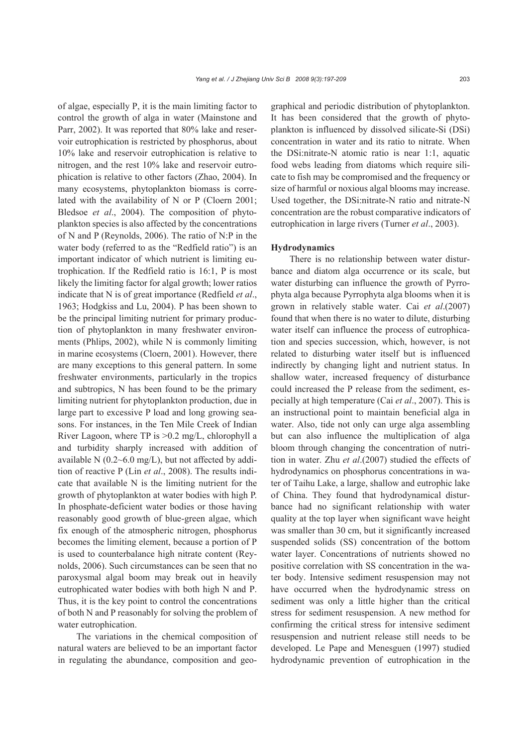of algae, especially P, it is the main limiting factor to control the growth of alga in water (Mainstone and Parr, 2002). It was reported that 80% lake and reservoir eutrophication is restricted by phosphorus, about 10% lake and reservoir eutrophication is relative to nitrogen, and the rest 10% lake and reservoir eutrophication is relative to other factors (Zhao, 2004). In many ecosystems, phytoplankton biomass is correlated with the availability of N or P (Cloern 2001; Bledsoe *et al*., 2004). The composition of phytoplankton species is also affected by the concentrations of N and P (Reynolds, 2006). The ratio of N:P in the water body (referred to as the "Redfield ratio") is an important indicator of which nutrient is limiting eutrophication. If the Redfield ratio is 16:1, P is most likely the limiting factor for algal growth; lower ratios indicate that N is of great importance (Redfield *et al*., 1963; Hodgkiss and Lu, 2004). P has been shown to be the principal limiting nutrient for primary production of phytoplankton in many freshwater environments (Phlips, 2002), while N is commonly limiting in marine ecosystems (Cloern, 2001). However, there are many exceptions to this general pattern. In some freshwater environments, particularly in the tropics and subtropics, N has been found to be the primary limiting nutrient for phytoplankton production, due in large part to excessive P load and long growing seasons. For instances, in the Ten Mile Creek of Indian River Lagoon, where TP is >0.2 mg/L, chlorophyll a and turbidity sharply increased with addition of available N  $(0.2~6.0~mg/L)$ , but not affected by addition of reactive P (Lin *et al*., 2008). The results indicate that available N is the limiting nutrient for the growth of phytoplankton at water bodies with high P. In phosphate-deficient water bodies or those having reasonably good growth of blue-green algae, which fix enough of the atmospheric nitrogen, phosphorus becomes the limiting element, because a portion of P is used to counterbalance high nitrate content (Reynolds, 2006). Such circumstances can be seen that no paroxysmal algal boom may break out in heavily eutrophicated water bodies with both high N and P. Thus, it is the key point to control the concentrations of both N and P reasonably for solving the problem of water eutrophication.

The variations in the chemical composition of natural waters are believed to be an important factor in regulating the abundance, composition and geographical and periodic distribution of phytoplankton. It has been considered that the growth of phytoplankton is influenced by dissolved silicate-Si (DSi) concentration in water and its ratio to nitrate. When the DSi:nitrate-N atomic ratio is near 1:1, aquatic food webs leading from diatoms which require silicate to fish may be compromised and the frequency or size of harmful or noxious algal blooms may increase. Used together, the DSi:nitrate-N ratio and nitrate-N concentration are the robust comparative indicators of eutrophication in large rivers (Turner *et al*., 2003).

### **Hydrodynamics**

There is no relationship between water disturbance and diatom alga occurrence or its scale, but water disturbing can influence the growth of Pyrrophyta alga because Pyrrophyta alga blooms when it is grown in relatively stable water. Cai *et al*.(2007) found that when there is no water to dilute, disturbing water itself can influence the process of eutrophication and species succession, which, however, is not related to disturbing water itself but is influenced indirectly by changing light and nutrient status. In shallow water, increased frequency of disturbance could increased the P release from the sediment, especially at high temperature (Cai *et al*., 2007). This is an instructional point to maintain beneficial alga in water. Also, tide not only can urge alga assembling but can also influence the multiplication of alga bloom through changing the concentration of nutrition in water. Zhu *et al*.(2007) studied the effects of hydrodynamics on phosphorus concentrations in water of Taihu Lake, a large, shallow and eutrophic lake of China. They found that hydrodynamical disturbance had no significant relationship with water quality at the top layer when significant wave height was smaller than 30 cm, but it significantly increased suspended solids (SS) concentration of the bottom water layer. Concentrations of nutrients showed no positive correlation with SS concentration in the water body. Intensive sediment resuspension may not have occurred when the hydrodynamic stress on sediment was only a little higher than the critical stress for sediment resuspension. A new method for confirming the critical stress for intensive sediment resuspension and nutrient release still needs to be developed. Le Pape and Menesguen (1997) studied hydrodynamic prevention of eutrophication in the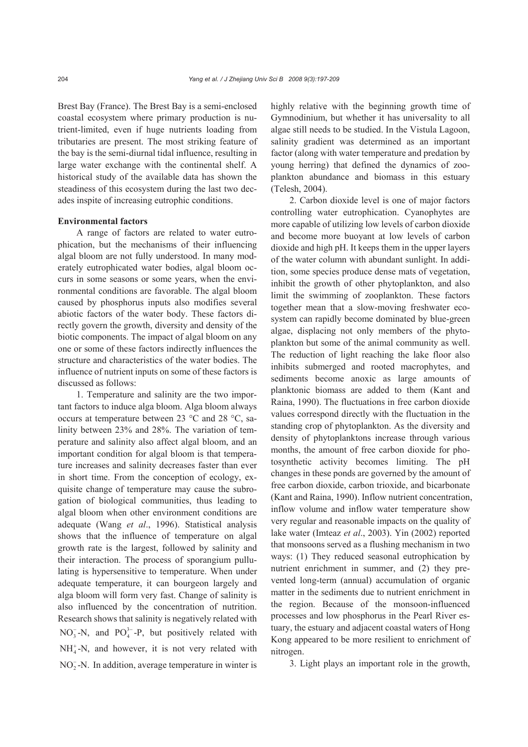Brest Bay (France). The Brest Bay is a semi-enclosed coastal ecosystem where primary production is nutrient-limited, even if huge nutrients loading from tributaries are present. The most striking feature of the bay is the semi-diurnal tidal influence, resulting in large water exchange with the continental shelf. A historical study of the available data has shown the steadiness of this ecosystem during the last two decades inspite of increasing eutrophic conditions.

### **Environmental factors**

A range of factors are related to water eutrophication, but the mechanisms of their influencing algal bloom are not fully understood. In many moderately eutrophicated water bodies, algal bloom occurs in some seasons or some years, when the environmental conditions are favorable. The algal bloom caused by phosphorus inputs also modifies several abiotic factors of the water body. These factors directly govern the growth, diversity and density of the biotic components. The impact of algal bloom on any one or some of these factors indirectly influences the structure and characteristics of the water bodies. The influence of nutrient inputs on some of these factors is discussed as follows:

1. Temperature and salinity are the two important factors to induce alga bloom. Alga bloom always occurs at temperature between 23 °C and 28 °C, salinity between 23% and 28%. The variation of temperature and salinity also affect algal bloom, and an important condition for algal bloom is that temperature increases and salinity decreases faster than ever in short time. From the conception of ecology, exquisite change of temperature may cause the subrogation of biological communities, thus leading to algal bloom when other environment conditions are adequate (Wang *et al*., 1996). Statistical analysis shows that the influence of temperature on algal growth rate is the largest, followed by salinity and their interaction. The process of sporangium pullulating is hypersensitive to temperature. When under adequate temperature, it can bourgeon largely and alga bloom will form very fast. Change of salinity is also influenced by the concentration of nutrition. Research shows that salinity is negatively related with NO<sub>3</sub>-N, and PO<sub>4</sub><sup>3-</sup>-P, but positively related with  $NH<sub>4</sub><sup>+</sup>-N$ , and however, it is not very related with  $NO<sub>2</sub><sup>-</sup>N$ . In addition, average temperature in winter is highly relative with the beginning growth time of Gymnodinium, but whether it has universality to all algae still needs to be studied. In the Vistula Lagoon, salinity gradient was determined as an important factor (along with water temperature and predation by young herring) that defined the dynamics of zooplankton abundance and biomass in this estuary (Telesh, 2004).

2. Carbon dioxide level is one of major factors controlling water eutrophication. Cyanophytes are more capable of utilizing low levels of carbon dioxide and become more buoyant at low levels of carbon dioxide and high pH. It keeps them in the upper layers of the water column with abundant sunlight. In addition, some species produce dense mats of vegetation, inhibit the growth of other phytoplankton, and also limit the swimming of zooplankton. These factors together mean that a slow-moving freshwater ecosystem can rapidly become dominated by blue-green algae, displacing not only members of the phytoplankton but some of the animal community as well. The reduction of light reaching the lake floor also inhibits submerged and rooted macrophytes, and sediments become anoxic as large amounts of planktonic biomass are added to them (Kant and Raina, 1990). The fluctuations in free carbon dioxide values correspond directly with the fluctuation in the standing crop of phytoplankton. As the diversity and density of phytoplanktons increase through various months, the amount of free carbon dioxide for photosynthetic activity becomes limiting. The pH changes in these ponds are governed by the amount of free carbon dioxide, carbon trioxide, and bicarbonate (Kant and Raina, 1990). Inflow nutrient concentration, inflow volume and inflow water temperature show very regular and reasonable impacts on the quality of lake water (Imteaz *et al*., 2003). Yin (2002) reported that monsoons served as a flushing mechanism in two ways: (1) They reduced seasonal eutrophication by nutrient enrichment in summer, and (2) they prevented long-term (annual) accumulation of organic matter in the sediments due to nutrient enrichment in the region. Because of the monsoon-influenced processes and low phosphorus in the Pearl River estuary, the estuary and adjacent coastal waters of Hong Kong appeared to be more resilient to enrichment of nitrogen.

3. Light plays an important role in the growth,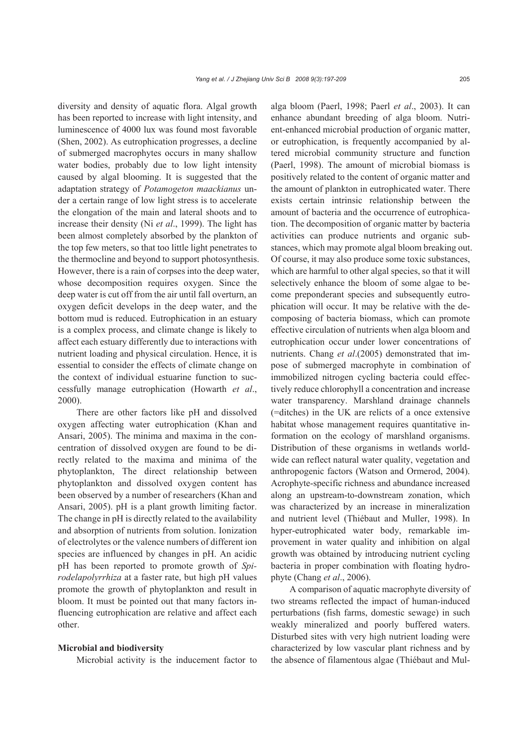diversity and density of aquatic flora. Algal growth has been reported to increase with light intensity, and luminescence of 4000 lux was found most favorable (Shen, 2002). As eutrophication progresses, a decline of submerged macrophytes occurs in many shallow water bodies, probably due to low light intensity caused by algal blooming. It is suggested that the adaptation strategy of *Potamogeton maackianus* under a certain range of low light stress is to accelerate the elongation of the main and lateral shoots and to increase their density (Ni *et al*., 1999). The light has been almost completely absorbed by the plankton of the top few meters, so that too little light penetrates to the thermocline and beyond to support photosynthesis. However, there is a rain of corpses into the deep water, whose decomposition requires oxygen. Since the deep water is cut off from the air until fall overturn, an oxygen deficit develops in the deep water, and the bottom mud is reduced. Eutrophication in an estuary is a complex process, and climate change is likely to affect each estuary differently due to interactions with nutrient loading and physical circulation. Hence, it is essential to consider the effects of climate change on the context of individual estuarine function to successfully manage eutrophication (Howarth *et al*., 2000).

There are other factors like pH and dissolved oxygen affecting water eutrophication (Khan and Ansari, 2005). The minima and maxima in the concentration of dissolved oxygen are found to be directly related to the maxima and minima of the phytoplankton, The direct relationship between phytoplankton and dissolved oxygen content has been observed by a number of researchers (Khan and Ansari, 2005). pH is a plant growth limiting factor. The change in pH is directly related to the availability and absorption of nutrients from solution. Ionization of electrolytes or the valence numbers of different ion species are influenced by changes in pH. An acidic pH has been reported to promote growth of *Spirodelapolyrrhiza* at a faster rate, but high pH values promote the growth of phytoplankton and result in bloom. It must be pointed out that many factors influencing eutrophication are relative and affect each other.

### **Microbial and biodiversity**

Microbial activity is the inducement factor to

alga bloom (Paerl, 1998; Paerl *et al*., 2003). It can enhance abundant breeding of alga bloom. Nutrient-enhanced microbial production of organic matter, or eutrophication, is frequently accompanied by altered microbial community structure and function (Paerl, 1998). The amount of microbial biomass is positively related to the content of organic matter and the amount of plankton in eutrophicated water. There exists certain intrinsic relationship between the amount of bacteria and the occurrence of eutrophication. The decomposition of organic matter by bacteria activities can produce nutrients and organic substances, which may promote algal bloom breaking out. Of course, it may also produce some toxic substances, which are harmful to other algal species, so that it will selectively enhance the bloom of some algae to become preponderant species and subsequently eutrophication will occur. It may be relative with the decomposing of bacteria biomass, which can promote effective circulation of nutrients when alga bloom and eutrophication occur under lower concentrations of nutrients. Chang *et al*.(2005) demonstrated that impose of submerged macrophyte in combination of immobilized nitrogen cycling bacteria could effectively reduce chlorophyll a concentration and increase water transparency. Marshland drainage channels (=ditches) in the UK are relicts of a once extensive habitat whose management requires quantitative information on the ecology of marshland organisms. Distribution of these organisms in wetlands worldwide can reflect natural water quality, vegetation and anthropogenic factors (Watson and Ormerod, 2004). Acrophyte-specific richness and abundance increased along an upstream-to-downstream zonation, which was characterized by an increase in mineralization and nutrient level (Thiébaut and Muller, 1998). In hyper-eutrophicated water body, remarkable improvement in water quality and inhibition on algal growth was obtained by introducing nutrient cycling bacteria in proper combination with floating hydrophyte (Chang *et al*., 2006).

A comparison of aquatic macrophyte diversity of two streams reflected the impact of human-induced perturbations (fish farms, domestic sewage) in such weakly mineralized and poorly buffered waters. Disturbed sites with very high nutrient loading were characterized by low vascular plant richness and by the absence of filamentous algae (Thiébaut and Mul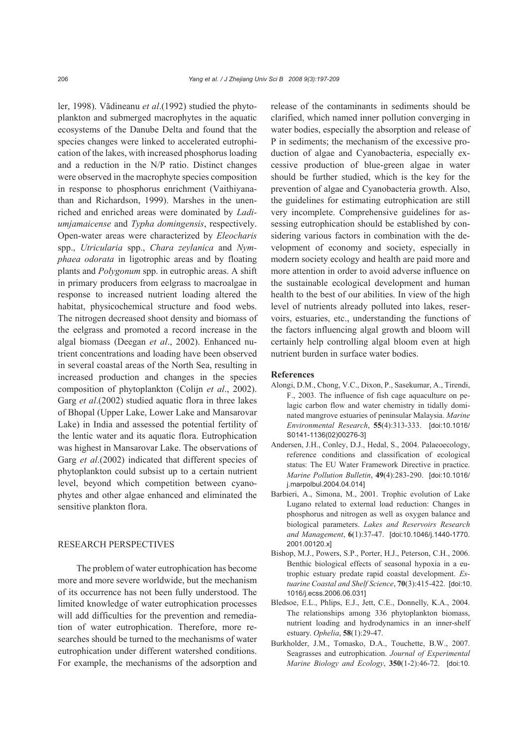ler, 1998). Vădineanu *et al*.(1992) studied the phytoplankton and submerged macrophytes in the aquatic ecosystems of the Danube Delta and found that the species changes were linked to accelerated eutrophication of the lakes, with increased phosphorus loading and a reduction in the N/P ratio. Distinct changes were observed in the macrophyte species composition in response to phosphorus enrichment (Vaithiyanathan and Richardson, 1999). Marshes in the unenriched and enriched areas were dominated by *Ladiumjamaicense* and *Typha domingensis*, respectively. Open-water areas were characterized by *Eleocharis*  spp., *Utricularia* spp., *Chara zeylanica* and *Nymphaea odorata* in ligotrophic areas and by floating plants and *Polygonum* spp. in eutrophic areas. A shift in primary producers from eelgrass to macroalgae in response to increased nutrient loading altered the habitat, physicochemical structure and food webs. The nitrogen decreased shoot density and biomass of the eelgrass and promoted a record increase in the algal biomass (Deegan *et al*., 2002). Enhanced nutrient concentrations and loading have been observed in several coastal areas of the North Sea, resulting in increased production and changes in the species composition of phytoplankton (Colijn *et al*., 2002). Garg *et al*.(2002) studied aquatic flora in three lakes of Bhopal (Upper Lake, Lower Lake and Mansarovar Lake) in India and assessed the potential fertility of the lentic water and its aquatic flora. Eutrophication was highest in Mansarovar Lake. The observations of Garg *et al.*(2002) indicated that different species of phytoplankton could subsist up to a certain nutrient level, beyond which competition between cyanophytes and other algae enhanced and eliminated the sensitive plankton flora.

### RESEARCH PERSPECTIVES

The problem of water eutrophication has become more and more severe worldwide, but the mechanism of its occurrence has not been fully understood. The limited knowledge of water eutrophication processes will add difficulties for the prevention and remediation of water eutrophication. Therefore, more researches should be turned to the mechanisms of water eutrophication under different watershed conditions. For example, the mechanisms of the adsorption and release of the contaminants in sediments should be clarified, which named inner pollution converging in water bodies, especially the absorption and release of P in sediments; the mechanism of the excessive production of algae and Cyanobacteria, especially excessive production of blue-green algae in water should be further studied, which is the key for the prevention of algae and Cyanobacteria growth. Also, the guidelines for estimating eutrophication are still very incomplete. Comprehensive guidelines for assessing eutrophication should be established by considering various factors in combination with the development of economy and society, especially in modern society ecology and health are paid more and more attention in order to avoid adverse influence on the sustainable ecological development and human health to the best of our abilities. In view of the high level of nutrients already polluted into lakes, reservoirs, estuaries, etc., understanding the functions of the factors influencing algal growth and bloom will certainly help controlling algal bloom even at high nutrient burden in surface water bodies.

### **References**

- Alongi, D.M., Chong, V.C., Dixon, P., Sasekumar, A., Tirendi, F., 2003. The influence of fish cage aquaculture on pelagic carbon flow and water chemistry in tidally dominated mangrove estuaries of peninsular Malaysia. *Marine Environmental Research*, **55**(4):313-333. [doi:10.1016/ S0141-1136(02)00276-3]
- Andersen, J.H., Conley, D.J., Hedal, S., 2004. Palaeoecology, reference conditions and classification of ecological status: The EU Water Framework Directive in practice. *Marine Pollution Bulletin*, **49**(4):283-290. [doi:10.1016/ j.marpolbul.2004.04.014]
- Barbieri, A., Simona, M., 2001. Trophic evolution of Lake Lugano related to external load reduction: Changes in phosphorus and nitrogen as well as oxygen balance and biological parameters. *Lakes and Reservoirs Research and Management*, **6**(1):37-47. [doi:10.1046/j.1440-1770. 2001.00120.x]
- Bishop, M.J., Powers, S.P., Porter, H.J., Peterson, C.H., 2006. Benthic biological effects of seasonal hypoxia in a eutrophic estuary predate rapid coastal development. *Estuarine Coastal and Shelf Science*, **70**(3):415-422. [doi:10. 1016/j.ecss.2006.06.031]
- Bledsoe, E.L., Phlips, E.J., Jett, C.E., Donnelly, K.A., 2004. The relationships among 336 phytoplankton biomass, nutrient loading and hydrodynamics in an inner-shelf estuary. *Ophelia*, **58**(1):29-47.
- Burkholder, J.M., Tomasko, D.A., Touchette, B.W., 2007. Seagrasses and eutrophication. *Journal of Experimental Marine Biology and Ecology*, **350**(1-2):46-72. [doi:10.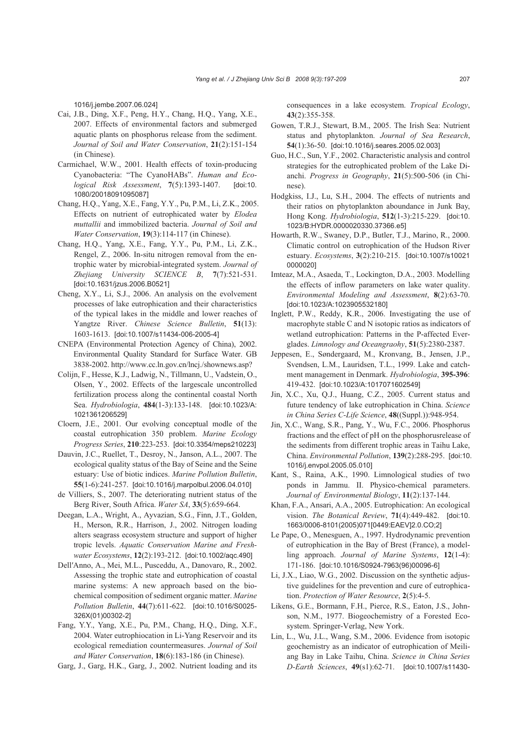1016/j.jembe.2007.06.024]

- Cai, J.B., Ding, X.F., Peng, H.Y., Chang, H.Q., Yang, X.E., 2007. Effects of environmental factors and submerged aquatic plants on phosphorus release from the sediment. *Journal of Soil and Water Conservation*, **21**(2):151-154 (in Chinese).
- Carmichael, W.W., 2001. Health effects of toxin-producing Cyanobacteria: "The CyanoHABs". *Human and Ecological Risk Assessment*, **7**(5):1393-1407. [doi:10. 1080/20018091095087]
- Chang, H.Q., Yang, X.E., Fang, Y.Y., Pu, P.M., Li, Z.K., 2005. Effects on nutrient of eutrophicated water by *Elodea muttallii* and immobilized bacteria. *Journal of Soil and Water Conservation*, **19**(3):114-117 (in Chinese).
- Chang, H.Q., Yang, X.E., Fang, Y.Y., Pu, P.M., Li, Z.K., Rengel, Z., 2006. In-situ nitrogen removal from the entrophic water by microbial-integrated system. *Journal of Zhejiang University SCIENCE B*, **7**(7):521-531. [doi:10.1631/jzus.2006.B0521]
- Cheng, X.Y., Li, S.J., 2006. An analysis on the evolvement processes of lake eutrophication and their characteristics of the typical lakes in the middle and lower reaches of Yangtze River. *Chinese Science Bulletin*, **51**(13): 1603-1613. [doi:10.1007/s11434-006-2005-4]
- CNEPA (Environmental Protection Agency of China), 2002. Environmental Quality Standard for Surface Water. GB 3838-2002. http://www.cc.ln.gov.cn/lncj./shownews.asp?
- Colijn, F., Hesse, K.J., Ladwig, N., Tillmann, U., Vadstein, O., Olsen, Y., 2002. Effects of the largescale uncontrolled fertilization process along the continental coastal North Sea. *Hydrobiologia*, **484**(1-3):133-148. [doi:10.1023/A: 1021361206529]
- Cloern, J.E., 2001. Our evolving conceptual modle of the coastal eutrophication 350 problem. *Marine Ecology Progress Series*, **210**:223-253. [doi:10.3354/meps210223]
- Dauvin, J.C., Ruellet, T., Desroy, N., Janson, A.L., 2007. The ecological quality status of the Bay of Seine and the Seine estuary: Use of biotic indices. *Marine Pollution Bulletin*, **55**(1-6):241-257. [doi:10.1016/j.marpolbul.2006.04.010]
- de Villiers, S., 2007. The deteriorating nutrient status of the Berg River, South Africa. *Water SA*, **33**(5):659-664.
- Deegan, L.A., Wright, A., Ayvazian, S.G., Finn, J.T., Golden, H., Merson, R.R., Harrison, J., 2002. Nitrogen loading alters seagrass ecosystem structure and support of higher tropic levels. *Aquatic Conservation Marine and Freshwater Ecosystems*, **12**(2):193-212. [doi:10.1002/aqc.490]
- Dell′Anno, A., Mei, M.L., Pusceddu, A., Danovaro, R., 2002. Assessing the trophic state and eutrophication of coastal marine systems: A new approach based on the biochemical composition of sediment organic matter. *Marine Pollution Bulletin*, **44**(7):611-622. [doi:10.1016/S0025- 326X(01)00302-2]
- Fang, Y.Y., Yang, X.E., Pu, P.M., Chang, H.Q., Ding, X.F., 2004. Water eutrophiocation in Li-Yang Reservoir and its ecological remediation countermeasures. *Journal of Soil and Water Conservation*, **18**(6):183-186 (in Chinese).
- Garg, J., Garg, H.K., Garg, J., 2002. Nutrient loading and its

consequences in a lake ecosystem. *Tropical Ecology*, **43**(2):355-358.

- Gowen, T.R.J., Stewart, B.M., 2005. The Irish Sea: Nutrient status and phytoplankton. *Journal of Sea Research*, **54**(1):36-50. [doi:10.1016/j.seares.2005.02.003]
- Guo, H.C., Sun, Y.F., 2002. Characteristic analysis and control strategies for the eutrophicated problem of the Lake Dianchi. *Progress in Geography*, **21**(5):500-506 (in Chinese).
- Hodgkiss, I.J., Lu, S.H., 2004. The effects of nutrients and their ratios on phytoplankton aboundance in Junk Bay, Hong Kong. *Hydrobiologia*, **512**(1-3):215-229. [doi:10. 1023/B:HYDR.0000020330.37366.e5]
- Howarth, R.W., Swaney, D.P., Butler, T.J., Marino, R., 2000. Climatic control on eutrophication of the Hudson River estuary. *Ecosystems*, **3**(2):210-215. [doi:10.1007/s10021 0000020]
- Imteaz, M.A., Asaeda, T., Lockington, D.A., 2003. Modelling the effects of inflow parameters on lake water quality. *Environmental Modeling and Assessment*, **8**(2):63-70. [doi:10.1023/A:1023905532180]
- Inglett, P.W., Reddy, K.R., 2006. Investigating the use of macrophyte stable C and N isotopic ratios as indicators of wetland eutrophication: Patterns in the P-affected Everglades. *Limnology and Oceangraohy*, **51**(5):2380-2387.
- Jeppesen, E., Søndergaard, M., Kronvang, B., Jensen, J.P., Svendsen, L.M., Lauridsen, T.L., 1999. Lake and catchment management in Denmark. *Hydrobiologia*, **395-396**: 419-432. [doi:10.1023/A:1017071602549]
- Jin, X.C., Xu, Q.J., Huang, C.Z., 2005. Current status and future tendency of lake eutrophication in China. *Science in China Series C-Life Science*, **48**((Suppl.)):948-954.
- Jin, X.C., Wang, S.R., Pang, Y., Wu, F.C., 2006. Phosphorus fractions and the effect of pH on the phosphorusrelease of the sediments from different trophic areas in Taihu Lake, China. *Environmental Pollution*, **139**(2):288-295. [doi:10. 1016/j.envpol.2005.05.010]
- Kant, S., Raina, A.K., 1990. Limnological studies of two ponds in Jammu. II. Physico-chemical parameters. *Journal of Environmental Biology*, **11**(2):137-144.
- Khan, F.A., Ansari, A.A., 2005. Eutrophication: An ecological vision. *The Botanical Review*, **71**(4):449-482. [doi:10. 1663/0006-8101(2005)071[0449:EAEV]2.0.CO;2]
- Le Pape, O., Menesguen, A., 1997. Hydrodynamic prevention of eutrophication in the Bay of Brest (France), a modelling approach. *Journal of Marine Systems*, **12**(1-4): 171-186. [doi:10.1016/S0924-7963(96)00096-6]
- Li, J.X., Liao, W.G., 2002. Discussion on the synthetic adjustive guidelines for the prevention and cure of eutrophication. *Protection of Water Resource*, **2**(5):4-5.
- Likens, G.E., Bormann, F.H., Pierce, R.S., Eaton, J.S., Johnson, N.M., 1977. Biogeochemistry of a Forested Ecosystem. Springer-Verlag, New York.
- Lin, L., Wu, J.L., Wang, S.M., 2006. Evidence from isotopic geochemistry as an indicator of eutrophication of Meiliang Bay in Lake Taihu, China. *Science in China Series D-Earth Sciences*, **49**(s1):62-71. [doi:10.1007/s11430-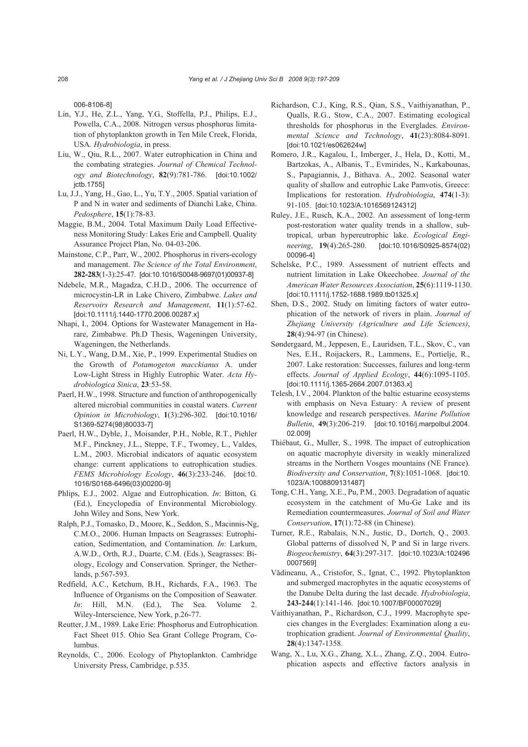006-8106-8]

- Lin, Y.J., He, Z.L., Yang, Y.G., Stoffella, P.J., Philips, E.J., Powella, C.A., 2008. Nitrogen versus phosphorus limitation of phytoplankton growth in Ten Mile Creek, Florida, USA. *Hydrobiologia*, in press.
- Liu, W., Qiu, R.L., 2007. Water eutrophication in China and the combating strategies. *Journal of Chemical Technology and Biotechnology*, **82**(9):781-786. [doi:10.1002/ jctb.1755]
- Lu, J.J., Yang, H., Gao, L., Yu, T.Y., 2005. Spatial variation of P and N in water and sediments of Dianchi Lake, China. *Pedosphere*, **15**(1):78-83.
- Maggie, B.M., 2004. Total Maximum Daily Load Effectiveness Monitoring Study: Lakes Erie and Campbell. Quality Assurance Project Plan, No. 04-03-206.
- Mainstone, C.P., Parr, W., 2002. Phosphorus in rivers-ecology and management. *The Science of the Total Environment*, **282-283**(1-3):25-47. [doi:10.1016/S0048-9697(01)00937-8]
- Ndebele, M.R., Magadza, C.H.D., 2006. The occurrence of microcystin-LR in Lake Chivero, Zimbabwe. *Lakes and Reservoirs Research and Management*, **11**(1):57-62. [doi:10.1111/j.1440-1770.2006.00287.x]
- Nhapi, I., 2004. Options for Wastewater Management in Harare, Zimbabwe. Ph.D Thesis, Wageningen University, Wageningen, the Netherlands.
- Ni, L.Y., Wang, D.M., Xie, P., 1999. Experimental Studies on the Growth of *Potamogeton macckianus* A. under Low-Light Stress in Highly Eutrophic Water. *Acta Hydrobiologica Sinica*, **23**:53-58.
- Paerl, H.W., 1998. Structure and function of anthropogenically altered microbial communities in coastal waters. *Current Opinion in Microbiology*, **1**(3):296-302. [doi:10.1016/ S1369-5274(98)80033-7]
- Paerl, H.W., Dyble, J., Moisander, P.H., Noble, R.T., Piehler M.F., Pinckney, J.L., Steppe, T.F., Twomey, L., Valdes, L.M., 2003. Microbial indicators of aquatic ecosystem change: current applications to eutrophication studies. *FEMS Microbiology Ecology*, **46**(3):233-246. [doi:10. 1016/S0168-6496(03)00200-9]
- Phlips, E.J., 2002. Algae and Eutrophication. *In*: Bitton, G. (Ed.), Encyclopedia of Environmental Microbiology. John Wiley and Sons, New York.
- Ralph, P.J., Tomasko, D., Moore, K., Seddon, S., Macinnis-Ng, C.M.O., 2006. Human Impacts on Seagrasses: Eutrophication, Sedimentation, and Contamination. *In*: Larkum, A.W.D., Orth, R.J., Duarte, C.M. (Eds.), Seagrasses: Biology, Ecology and Conservation. Springer, the Netherlands, p.567-593.
- Redfield, A.C., Ketchum, B.H., Richards, F.A., 1963. The Influence of Organisms on the Composition of Seawater. *In*: Hill, M.N. (Ed.), The Sea. Volume 2. Wiley-Interscience, New York, p.26-77.
- Reutter, J.M., 1989. Lake Erie: Phosphorus and Eutrophication. Fact Sheet 015. Ohio Sea Grant College Program, Columbus.
- Reynolds, C., 2006. Ecology of Phytoplankton. Cambridge University Press, Cambridge, p.535.
- Richardson, C.J., King, R.S., Qian, S.S., Vaithiyanathan, P., Qualls, R.G., Stow, C.A., 2007. Estimating ecological thresholds for phosphorus in the Everglades. *Environmental Science and Technology*, **41**(23):8084-8091. [doi:10.1021/es062624w]
- Romero, J.R., Kagalou, I., Imberger, J., Hela, D., Kotti, M., Bartzokas, A., Albanis, T., Evmirides, N., Karkabounas, S., Papagiannis, J., Bithava. A., 2002. Seasonal water quality of shallow and eutrophic Lake Pamvotis, Greece: Implications for restoration. *Hydrobiologia*, **474**(1-3): 91-105. [doi:10.1023/A:1016569124312]
- Ruley, J.E., Rusch, K.A., 2002. An assessment of long-term post-restoration water quality trends in a shallow, subtropical, urban hypereutrophic lake. *Ecological Engineering*, **19**(4):265-280. [doi:10.1016/S0925-8574(02) 00096-4]
- Schelske, P.C., 1989. Assessment of nutrient effects and nutrient limitation in Lake Okeechobee. *Journal of the American Water Resources Association*, **25**(6):1119-1130. [doi:10.1111/j.1752-1688.1989.tb01325.x]
- Shen, D.S., 2002. Study on limiting factors of water eutrophication of the network of rivers in plain. *Journal of Zhejiang University (Agriculture and Life Sciences)*, **28**(4):94-97 (in Chinese).
- Søndergaard, M., Jeppesen, E., Lauridsen, T.L., Skov, C., van Nes, E.H., Roijackers, R., Lammens, E., Portielje, R., 2007. Lake restoration: Successes, failures and long-term effects. *Journal of Applied Ecology*, **44**(6):1095-1105. [doi:10.1111/j.1365-2664.2007.01363.x]
- Telesh, I.V., 2004. Plankton of the baltic estuarine ecosystems with emphasis on Neva Estuary: A review of present knowledge and research perspectives. *Marine Pollution Bulletin*, **49**(3):206-219. [doi:10.1016/j.marpolbul.2004. 02.009]
- Thiébaut, G., Muller, S., 1998. The impact of eutrophication on aquatic macrophyte diversity in weakly mineralized streams in the Northern Vosges mountains (NE France). *Biodiversity and Conservation*, **7**(8):1051-1068. [doi:10. 1023/A:1008809131487]
- Tong, C.H., Yang, X.E., Pu, P.M., 2003. Degradation of aquatic ecosystem in the catchment of Mu-Ge Lake and its Remediation countermeasures. *Journal of Soil and Water Conservation*, **17**(1):72-88 (in Chinese).
- Turner, R.E., Rabalais, N.N., Justic, D., Dortch, Q., 2003. Global patterns of dissolved N, P and Si in large rivers. *Biogeochemistry*, **64**(3):297-317. [doi:10.1023/A:102496 0007569]
- Vădineanu, A., Cristofor, S., Ignat, C., 1992. Phytoplankton and submerged macrophytes in the aquatic ecosystems of the Danube Delta during the last decade. *Hydrobiologia*, **243-244**(1):141-146. [doi:10.1007/BF00007029]
- Vaithiyanathan, P., Richardson, C.J., 1999. Macrophyte species changes in the Everglades: Examination along a eutrophication gradient. *Journal of Environmental Quality*, **28**(4):1347-1358.
- Wang, X., Lu, X.G., Zhang, X.L., Zhang, Z.Q., 2004. Eutrophication aspects and effective factors analysis in